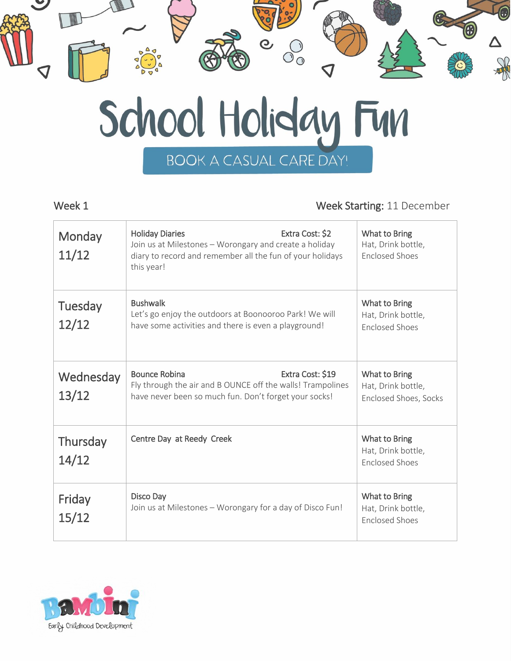

### Week 1 Week Starting: 11 December

| Monday<br>11/12    | Extra Cost: \$2<br><b>Holiday Diaries</b><br>Join us at Milestones - Worongary and create a holiday<br>diary to record and remember all the fun of your holidays<br>this year! | What to Bring<br>Hat, Drink bottle,<br><b>Enclosed Shoes</b>        |
|--------------------|--------------------------------------------------------------------------------------------------------------------------------------------------------------------------------|---------------------------------------------------------------------|
| Tuesday<br>12/12   | <b>Bushwalk</b><br>Let's go enjoy the outdoors at Boonooroo Park! We will<br>have some activities and there is even a playground!                                              | What to Bring<br>Hat, Drink bottle,<br><b>Enclosed Shoes</b>        |
| Wednesday<br>13/12 | <b>Bounce Robina</b><br>Extra Cost: \$19<br>Fly through the air and B OUNCE off the walls! Trampolines<br>have never been so much fun. Don't forget your socks!                | What to Bring<br>Hat, Drink bottle,<br><b>Enclosed Shoes, Socks</b> |
| Thursday<br>14/12  | Centre Day at Reedy Creek                                                                                                                                                      | What to Bring<br>Hat, Drink bottle,<br><b>Enclosed Shoes</b>        |
| Friday<br>15/12    | Disco Day<br>Join us at Milestones - Worongary for a day of Disco Fun!                                                                                                         | What to Bring<br>Hat, Drink bottle,<br><b>Enclosed Shoes</b>        |

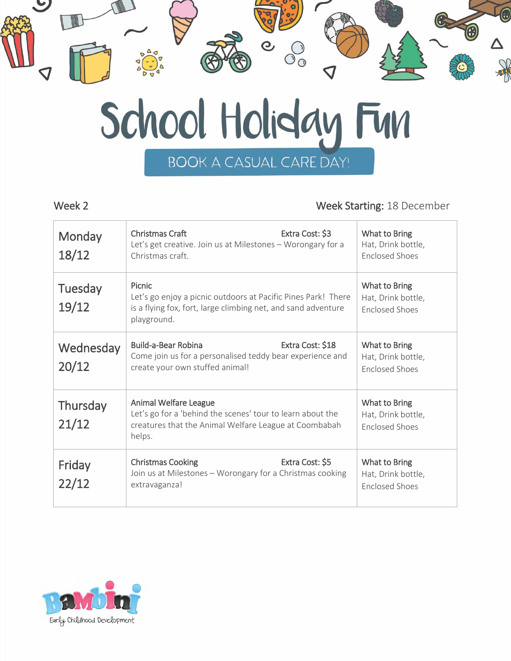

## Week 2 Week Starting: 18 December

| Monday<br>18/12    | Extra Cost: \$3<br>Christmas Craft<br>Let's get creative. Join us at Milestones - Worongary for a<br>Christmas craft.                                   | What to Bring<br>Hat, Drink bottle,<br><b>Enclosed Shoes</b> |
|--------------------|---------------------------------------------------------------------------------------------------------------------------------------------------------|--------------------------------------------------------------|
| Tuesday<br>19/12   | Picnic<br>Let's go enjoy a picnic outdoors at Pacific Pines Park! There<br>is a flying fox, fort, large climbing net, and sand adventure<br>playground. | What to Bring<br>Hat, Drink bottle,<br><b>Enclosed Shoes</b> |
| Wednesday<br>20/12 | Build-a-Bear Robina<br>Extra Cost: \$18<br>Come join us for a personalised teddy bear experience and<br>create your own stuffed animal!                 | What to Bring<br>Hat, Drink bottle,<br><b>Enclosed Shoes</b> |
| Thursday<br>21/12  | Animal Welfare League<br>Let's go for a 'behind the scenes' tour to learn about the<br>creatures that the Animal Welfare League at Coombabah<br>helps.  | What to Bring<br>Hat, Drink bottle,<br><b>Enclosed Shoes</b> |
| Friday<br>22/12    | Extra Cost: \$5<br><b>Christmas Cooking</b><br>Join us at Milestones - Worongary for a Christmas cooking<br>extravaganza!                               | What to Bring<br>Hat, Drink bottle,<br><b>Enclosed Shoes</b> |
|                    |                                                                                                                                                         |                                                              |

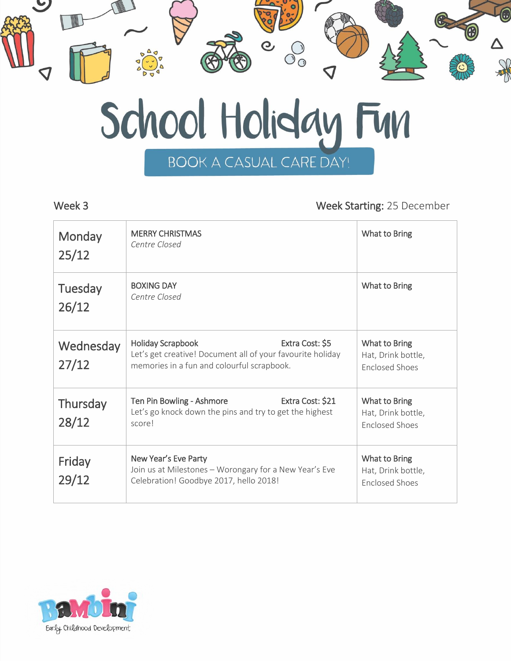

### Week 3 Week Starting: 25 December

| Monday<br>25/12    | <b>MERRY CHRISTMAS</b><br>Centre Closed                                                                                                                 | What to Bring                                                |
|--------------------|---------------------------------------------------------------------------------------------------------------------------------------------------------|--------------------------------------------------------------|
| Tuesday<br>26/12   | <b>BOXING DAY</b><br>Centre Closed                                                                                                                      | What to Bring                                                |
| Wednesday<br>27/12 | Extra Cost: \$5<br><b>Holiday Scrapbook</b><br>Let's get creative! Document all of your favourite holiday<br>memories in a fun and colourful scrapbook. | What to Bring<br>Hat, Drink bottle,<br><b>Enclosed Shoes</b> |
| Thursday<br>28/12  | Extra Cost: \$21<br>Ten Pin Bowling - Ashmore<br>Let's go knock down the pins and try to get the highest<br>score!                                      | What to Bring<br>Hat, Drink bottle,<br><b>Enclosed Shoes</b> |
| Friday<br>29/12    | New Year's Eve Party<br>Join us at Milestones - Worongary for a New Year's Eve<br>Celebration! Goodbye 2017, hello 2018!                                | What to Bring<br>Hat, Drink bottle,<br><b>Enclosed Shoes</b> |

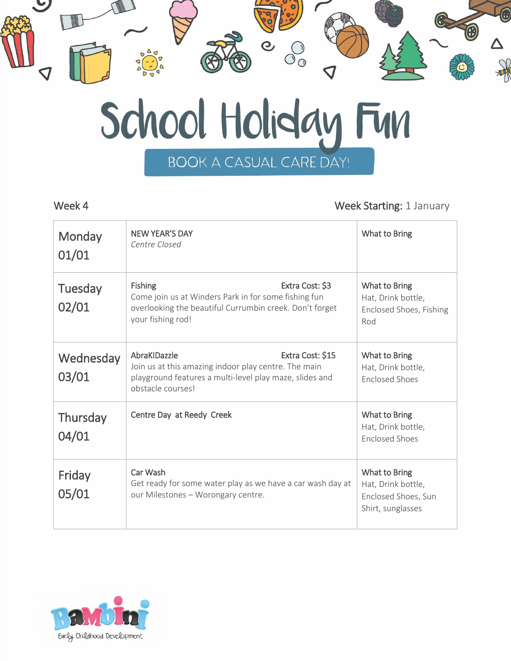

### Week 4 Week 4 Week Starting: 1 January

| Monday<br>01/01          | <b>NEW YEAR'S DAY</b><br>Centre Closed                                                                                                                                    | What to Bring                                                                   |
|--------------------------|---------------------------------------------------------------------------------------------------------------------------------------------------------------------------|---------------------------------------------------------------------------------|
| Tuesday<br>02/01         | <b>Fishing</b><br>Extra Cost: \$3<br>Come join us at Winders Park in for some fishing fun<br>overlooking the beautiful Currumbin creek. Don't forget<br>your fishing rod! | What to Bring<br>Hat, Drink bottle,<br>Enclosed Shoes, Fishing<br>Rod           |
| Wednesday<br>03/01       | AbraKIDazzle<br>Extra Cost: \$15<br>Join us at this amazing indoor play centre. The main<br>playground features a multi-level play maze, slides and<br>obstacle courses!  | What to Bring<br>Hat, Drink bottle,<br><b>Enclosed Shoes</b>                    |
| <b>Thursday</b><br>04/01 | Centre Day at Reedy Creek                                                                                                                                                 | What to Bring<br>Hat, Drink bottle,<br><b>Enclosed Shoes</b>                    |
| Friday<br>05/01          | Car Wash<br>Get ready for some water play as we have a car wash day at<br>our Milestones - Worongary centre.                                                              | What to Bring<br>Hat, Drink bottle,<br>Enclosed Shoes, Sun<br>Shirt, sunglasses |

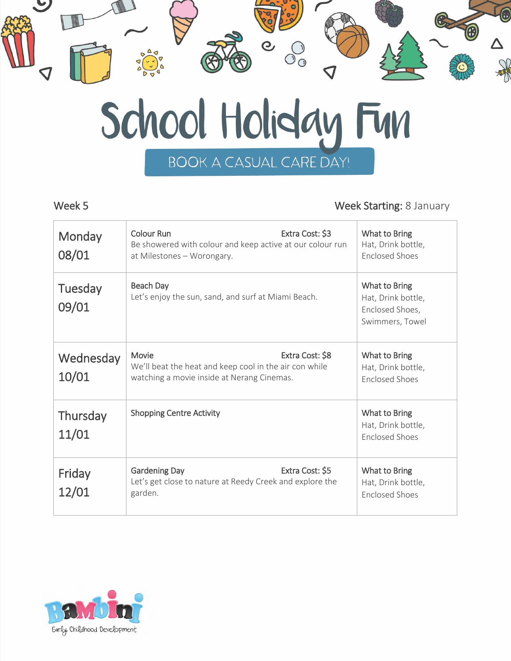

## Week 5 Week 5

| Monday<br>08/01          | <b>Colour Run</b><br>Extra Cost: \$3<br>Be showered with colour and keep active at our colour run<br>at Milestones - Worongary.  | What to Bring<br>Hat, Drink bottle,<br><b>Enclosed Shoes</b>              |
|--------------------------|----------------------------------------------------------------------------------------------------------------------------------|---------------------------------------------------------------------------|
| Tuesday<br>09/01         | Beach Day<br>Let's enjoy the sun, sand, and surf at Miami Beach.                                                                 | What to Bring<br>Hat, Drink bottle,<br>Enclosed Shoes,<br>Swimmers, Towel |
| Wednesday<br>10/01       | Extra Cost: \$8<br>Movie<br>We'll beat the heat and keep cool in the air con while<br>watching a movie inside at Nerang Cinemas. | What to Bring<br>Hat, Drink bottle,<br><b>Enclosed Shoes</b>              |
| <b>Thursday</b><br>11/01 | <b>Shopping Centre Activity</b>                                                                                                  | What to Bring<br>Hat, Drink bottle,<br><b>Enclosed Shoes</b>              |
| Friday<br>12/01          | Extra Cost: \$5<br><b>Gardening Day</b><br>Let's get close to nature at Reedy Creek and explore the<br>garden.                   | What to Bring<br>Hat, Drink bottle,<br><b>Enclosed Shoes</b>              |